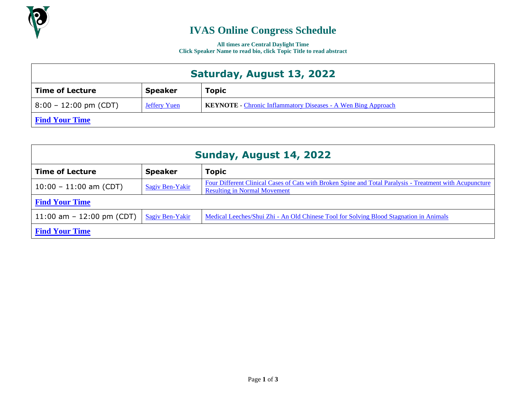

## **IVAS Online Congress Schedule**

**All times are Central Daylight Time Click Speaker Name to read bio, click Topic Title to read abstract**

| Saturday, August 13, 2022       |                     |                                                                      |
|---------------------------------|---------------------|----------------------------------------------------------------------|
| <b>Time of Lecture</b>          | <b>Speaker</b>      | <b>Topic</b>                                                         |
| $8:00 - 12:00 \text{ pm (CDT)}$ | <b>Jeffery Yuen</b> | <b>KEYNOTE</b> - Chronic Inflammatory Diseases - A Wen Bing Approach |
| <b>Find Your Time</b>           |                     |                                                                      |

| Sunday, August 14, 2022     |                 |                                                                                                                                                 |
|-----------------------------|-----------------|-------------------------------------------------------------------------------------------------------------------------------------------------|
| <b>Time of Lecture</b>      | <b>Speaker</b>  | <b>Topic</b>                                                                                                                                    |
| $10:00 - 11:00$ am (CDT)    | Sagiv Ben-Yakir | Four Different Clinical Cases of Cats with Broken Spine and Total Paralysis - Treatment with Acupuncture<br><b>Resulting in Normal Movement</b> |
| <b>Find Your Time</b>       |                 |                                                                                                                                                 |
| 11:00 am $-$ 12:00 pm (CDT) | Sagiv Ben-Yakir | Medical Leeches/Shui Zhi - An Old Chinese Tool for Solving Blood Stagnation in Animals                                                          |
| <b>Find Your Time</b>       |                 |                                                                                                                                                 |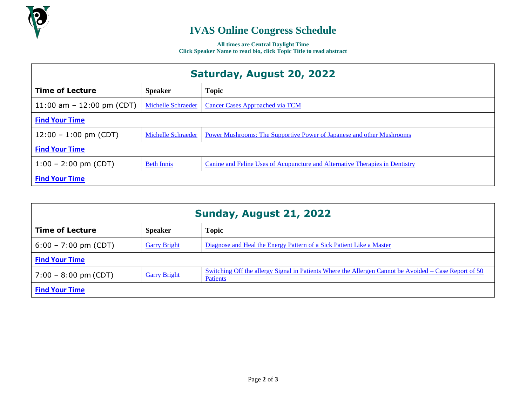

## **IVAS Online Congress Schedule**

**All times are Central Daylight Time Click Speaker Name to read bio, click Topic Title to read abstract**

| Saturday, August 20, 2022   |                    |                                                                              |  |
|-----------------------------|--------------------|------------------------------------------------------------------------------|--|
| <b>Time of Lecture</b>      | <b>Speaker</b>     | <b>Topic</b>                                                                 |  |
| 11:00 am $-$ 12:00 pm (CDT) | Michelle Schraeder | Cancer Cases Approached via TCM                                              |  |
| <b>Find Your Time</b>       |                    |                                                                              |  |
| $12:00 - 1:00$ pm (CDT)     | Michelle Schraeder | Power Mushrooms: The Supportive Power of Japanese and other Mushrooms        |  |
| <b>Find Your Time</b>       |                    |                                                                              |  |
| $1:00 - 2:00$ pm (CDT)      | <b>Beth Innis</b>  | Canine and Feline Uses of Acupuncture and Alternative Therapies in Dentistry |  |
| <b>Find Your Time</b>       |                    |                                                                              |  |

| Sunday, August 21, 2022 |                     |                                                                                                                                 |
|-------------------------|---------------------|---------------------------------------------------------------------------------------------------------------------------------|
| <b>Time of Lecture</b>  | <b>Speaker</b>      | <b>Topic</b>                                                                                                                    |
| $6:00 - 7:00$ pm (CDT)  | <b>Garry Bright</b> | Diagnose and Heal the Energy Pattern of a Sick Patient Like a Master                                                            |
| <b>Find Your Time</b>   |                     |                                                                                                                                 |
| $7:00 - 8:00$ pm (CDT)  | <b>Garry Bright</b> | <u>Switching Off the allergy Signal in Patients Where the Allergen Cannot be Avoided – Case Report of 50</u><br><b>Patients</b> |
| <b>Find Your Time</b>   |                     |                                                                                                                                 |